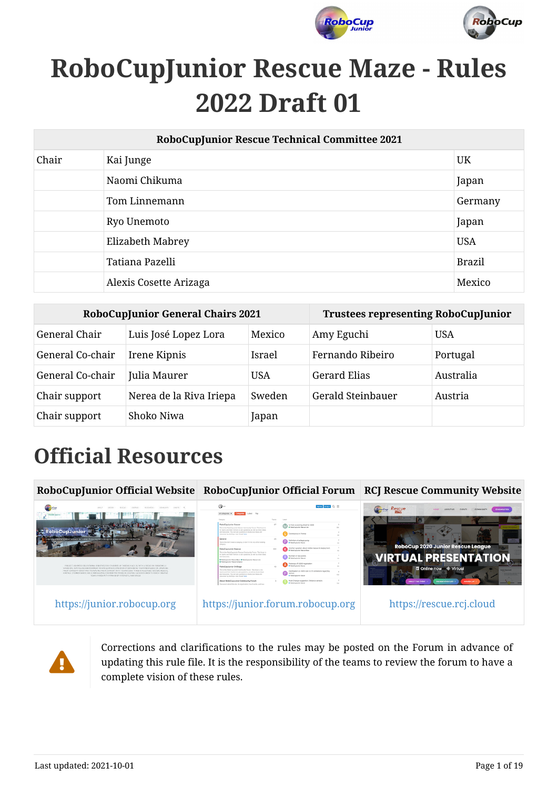



# **RoboCupJunior Rescue Maze - Rules 2022 Draft 01**

| RoboCupJunior Rescue Technical Committee 2021 |                        |               |  |  |  |
|-----------------------------------------------|------------------------|---------------|--|--|--|
| Chair                                         | Kai Junge              | <b>UK</b>     |  |  |  |
|                                               | Naomi Chikuma          | Japan         |  |  |  |
|                                               | Tom Linnemann          | Germany       |  |  |  |
|                                               | Ryo Unemoto            | Japan         |  |  |  |
|                                               | Elizabeth Mabrey       | <b>USA</b>    |  |  |  |
|                                               | Tatiana Pazelli        | <b>Brazil</b> |  |  |  |
|                                               | Alexis Cosette Arizaga | Mexico        |  |  |  |

| <b>RoboCupJunior General Chairs 2021</b> |                         |            | <b>Trustees representing RoboCupJunior</b> |            |  |
|------------------------------------------|-------------------------|------------|--------------------------------------------|------------|--|
| General Chair                            | Luis José Lopez Lora    | Mexico     | Amy Eguchi                                 | <b>USA</b> |  |
| General Co-chair                         | Irene Kipnis            | Israel     | Fernando Ribeiro                           | Portugal   |  |
| General Co-chair                         | Julia Maurer            | <b>USA</b> | <b>Gerard Elias</b>                        | Australia  |  |
| Chair support                            | Nerea de la Riva Iriepa | Sweden     | Gerald Steinbauer                          | Austria    |  |
| Chair support                            | Shoko Niwa              | Japan      |                                            |            |  |

# **Official Resources**





Corrections and clarifications to the rules may be posted on the Forum in advance of updating this rule file. It is the responsibility of the teams to review the forum to have a complete vision of these rules.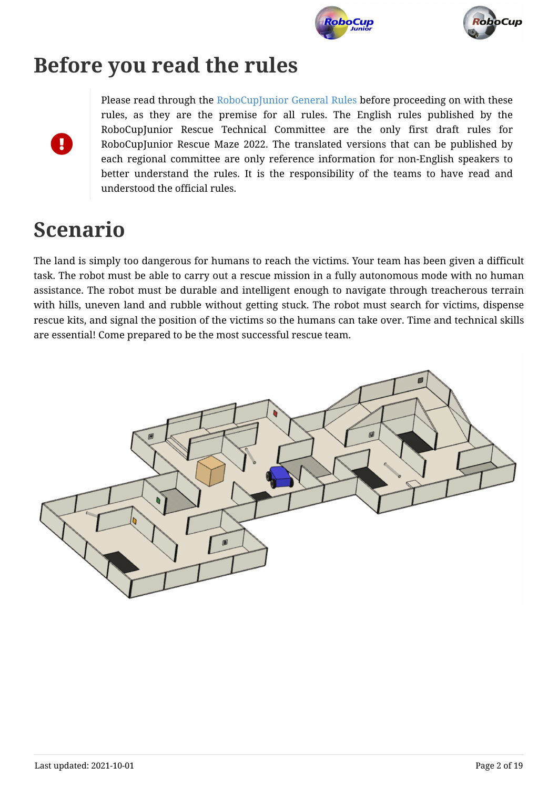



# **Before you read the rules**



Please read through the [RoboCupJunior General Rules](https://junior.robocup.org/robocupjunior-general-rules/) before proceeding on with these rules, as they are the premise for all rules. The English rules published by the RoboCupJunior Rescue Technical Committee are the only first draft rules for RoboCupJunior Rescue Maze 2022. The translated versions that can be published by each regional committee are only reference information for non-English speakers to better understand the rules. It is the responsibility of the teams to have read and understood the official rules.

# **Scenario**

The land is simply too dangerous for humans to reach the victims. Your team has been given a difficult task. The robot must be able to carry out a rescue mission in a fully autonomous mode with no human assistance. The robot must be durable and intelligent enough to navigate through treacherous terrain with hills, uneven land and rubble without getting stuck. The robot must search for victims, dispense rescue kits, and signal the position of the victims so the humans can take over. Time and technical skills are essential! Come prepared to be the most successful rescue team.

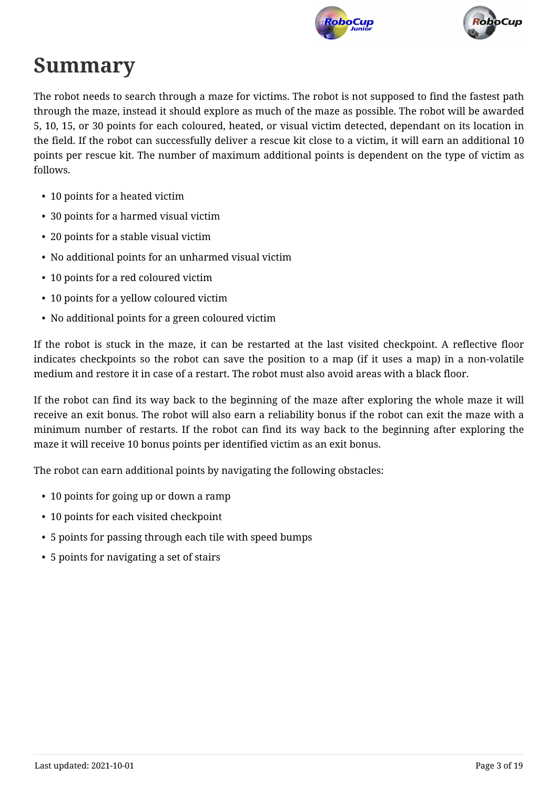



# **Summary**

The robot needs to search through a maze for victims. The robot is not supposed to find the fastest path through the maze, instead it should explore as much of the maze as possible. The robot will be awarded 5, 10, 15, or 30 points for each coloured, heated, or visual victim detected, dependant on its location in the field. If the robot can successfully deliver a rescue kit close to a victim, it will earn an additional 10 points per rescue kit. The number of maximum additional points is dependent on the type of victim as follows.

- 10 points for a heated victim
- 30 points for a harmed visual victim
- 20 points for a stable visual victim
- No additional points for an unharmed visual victim
- 10 points for a red coloured victim
- 10 points for a yellow coloured victim
- No additional points for a green coloured victim

If the robot is stuck in the maze, it can be restarted at the last visited checkpoint. A reflective floor indicates checkpoints so the robot can save the position to a map (if it uses a map) in a non-volatile medium and restore it in case of a restart. The robot must also avoid areas with a black floor.

If the robot can find its way back to the beginning of the maze after exploring the whole maze it will receive an exit bonus. The robot will also earn a reliability bonus if the robot can exit the maze with a minimum number of restarts. If the robot can find its way back to the beginning after exploring the maze it will receive 10 bonus points per identified victim as an exit bonus.

The robot can earn additional points by navigating the following obstacles:

- 10 points for going up or down a ramp
- 10 points for each visited checkpoint
- 5 points for passing through each tile with speed bumps
- 5 points for navigating a set of stairs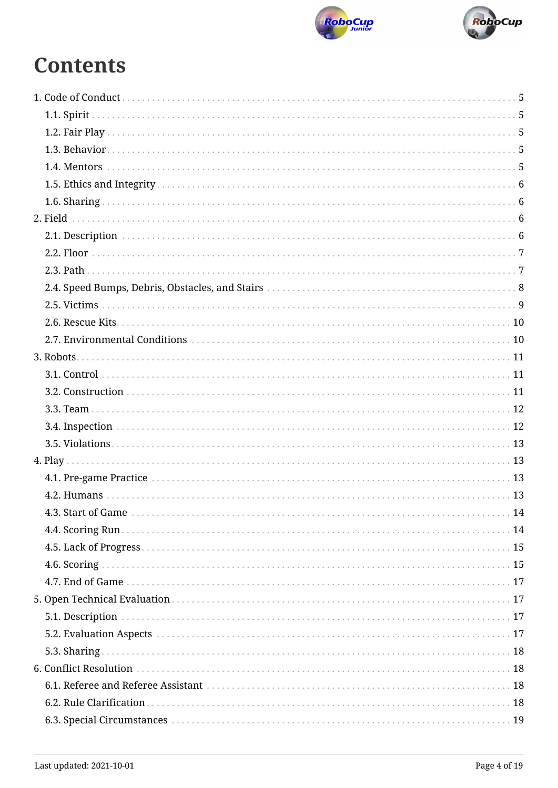



# **Contents**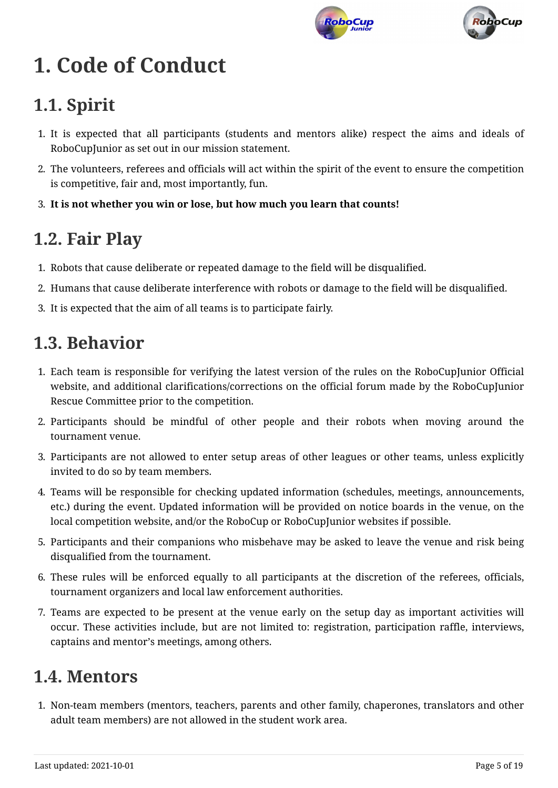



# <span id="page-4-0"></span>**1. Code of Conduct**

# <span id="page-4-1"></span>**1.1. Spirit**

- 1. It is expected that all participants (students and mentors alike) respect the aims and ideals of RoboCupJunior as set out in our mission statement.
- 2. The volunteers, referees and officials will act within the spirit of the event to ensure the competition is competitive, fair and, most importantly, fun.
- 3. **It is not whether you win or lose, but how much you learn that counts!**

### <span id="page-4-2"></span>**1.2. Fair Play**

- 1. Robots that cause deliberate or repeated damage to the field will be disqualified.
- 2. Humans that cause deliberate interference with robots or damage to the field will be disqualified.
- 3. It is expected that the aim of all teams is to participate fairly.

### <span id="page-4-3"></span>**1.3. Behavior**

- 1. Each team is responsible for verifying the latest version of the rules on the RoboCupJunior Official website, and additional clarifications/corrections on the official forum made by the RoboCupJunior Rescue Committee prior to the competition.
- 2. Participants should be mindful of other people and their robots when moving around the tournament venue.
- 3. Participants are not allowed to enter setup areas of other leagues or other teams, unless explicitly invited to do so by team members.
- 4. Teams will be responsible for checking updated information (schedules, meetings, announcements, etc.) during the event. Updated information will be provided on notice boards in the venue, on the local competition website, and/or the RoboCup or RoboCupJunior websites if possible.
- 5. Participants and their companions who misbehave may be asked to leave the venue and risk being disqualified from the tournament.
- 6. These rules will be enforced equally to all participants at the discretion of the referees, officials, tournament organizers and local law enforcement authorities.
- 7. Teams are expected to be present at the venue early on the setup day as important activities will occur. These activities include, but are not limited to: registration, participation raffle, interviews, captains and mentor's meetings, among others.

## <span id="page-4-4"></span>**1.4. Mentors**

1. Non-team members (mentors, teachers, parents and other family, chaperones, translators and other adult team members) are not allowed in the student work area.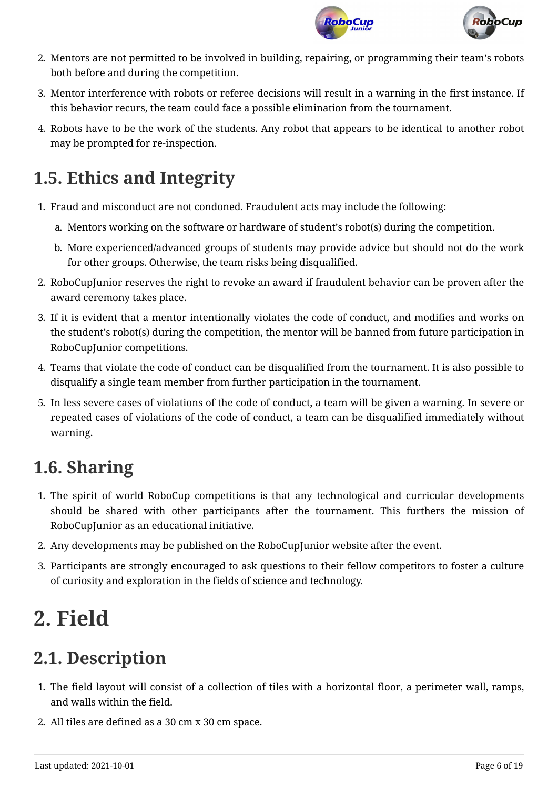



- 2. Mentors are not permitted to be involved in building, repairing, or programming their team's robots both before and during the competition.
- 3. Mentor interference with robots or referee decisions will result in a warning in the first instance. If this behavior recurs, the team could face a possible elimination from the tournament.
- 4. Robots have to be the work of the students. Any robot that appears to be identical to another robot may be prompted for re-inspection.

# <span id="page-5-0"></span>**1.5. Ethics and Integrity**

- 1. Fraud and misconduct are not condoned. Fraudulent acts may include the following:
	- a. Mentors working on the software or hardware of student's robot(s) during the competition.
	- b. More experienced/advanced groups of students may provide advice but should not do the work for other groups. Otherwise, the team risks being disqualified.
- 2. RoboCupJunior reserves the right to revoke an award if fraudulent behavior can be proven after the award ceremony takes place.
- 3. If it is evident that a mentor intentionally violates the code of conduct, and modifies and works on the student's robot(s) during the competition, the mentor will be banned from future participation in RoboCupJunior competitions.
- 4. Teams that violate the code of conduct can be disqualified from the tournament. It is also possible to disqualify a single team member from further participation in the tournament.
- 5. In less severe cases of violations of the code of conduct, a team will be given a warning. In severe or repeated cases of violations of the code of conduct, a team can be disqualified immediately without warning.

# <span id="page-5-1"></span>**1.6. Sharing**

- 1. The spirit of world RoboCup competitions is that any technological and curricular developments should be shared with other participants after the tournament. This furthers the mission of RoboCupJunior as an educational initiative.
- 2. Any developments may be published on the RoboCupJunior website after the event.
- 3. Participants are strongly encouraged to ask questions to their fellow competitors to foster a culture of curiosity and exploration in the fields of science and technology.

# <span id="page-5-2"></span>**2. Field**

# <span id="page-5-3"></span>**2.1. Description**

- 1. The field layout will consist of a collection of tiles with a horizontal floor, a perimeter wall, ramps, and walls within the field.
- 2. All tiles are defined as a 30 cm x 30 cm space.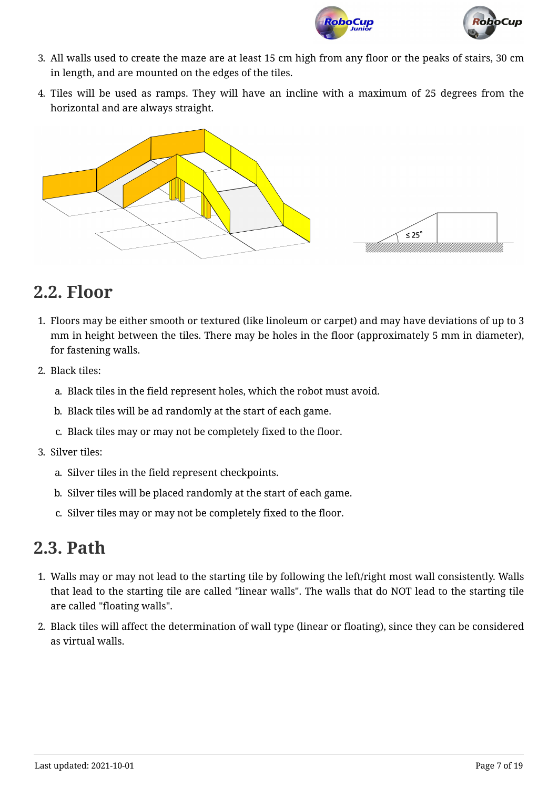

- 3. All walls used to create the maze are at least 15 cm high from any floor or the peaks of stairs, 30 cm in length, and are mounted on the edges of the tiles.
- 4. Tiles will be used as ramps. They will have an incline with a maximum of 25 degrees from the horizontal and are always straight.





## <span id="page-6-0"></span>**2.2. Floor**

- 1. Floors may be either smooth or textured (like linoleum or carpet) and may have deviations of up to 3 mm in height between the tiles. There may be holes in the floor (approximately 5 mm in diameter), for fastening walls.
- 2. Black tiles:
	- a. Black tiles in the field represent holes, which the robot must avoid.
	- b. Black tiles will be ad randomly at the start of each game.
	- c. Black tiles may or may not be completely fixed to the floor.
- 3. Silver tiles:
	- a. Silver tiles in the field represent checkpoints.
	- b. Silver tiles will be placed randomly at the start of each game.
	- c. Silver tiles may or may not be completely fixed to the floor.

#### <span id="page-6-1"></span>**2.3. Path**

- 1. Walls may or may not lead to the starting tile by following the left/right most wall consistently. Walls that lead to the starting tile are called "linear walls". The walls that do NOT lead to the starting tile are called "floating walls".
- 2. Black tiles will affect the determination of wall type (linear or floating), since they can be considered as virtual walls.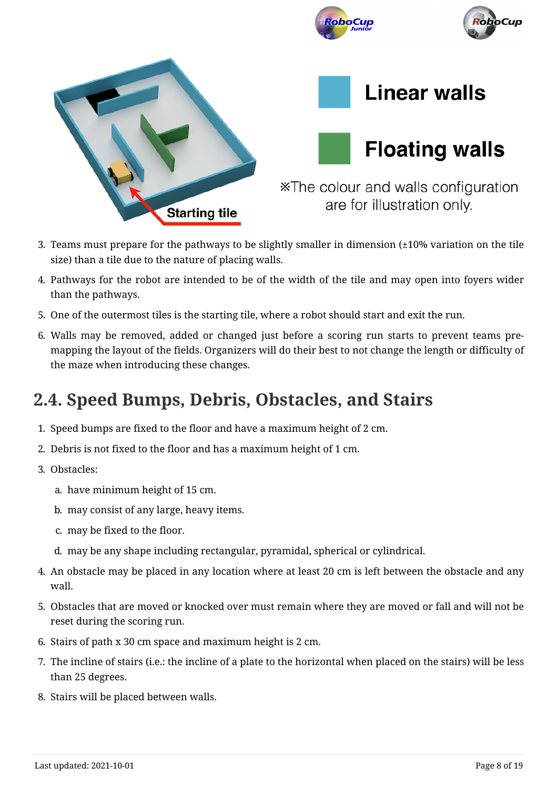

- 3. Teams must prepare for the pathways to be slightly smaller in dimension (±10% variation on the tile size) than a tile due to the nature of placing walls.
- 4. Pathways for the robot are intended to be of the width of the tile and may open into foyers wider than the pathways.
- 5. One of the outermost tiles is the starting tile, where a robot should start and exit the run.
- <span id="page-7-1"></span>6. Walls may be removed, added or changed just before a scoring run starts to prevent teams premapping the layout of the fields. Organizers will do their best to not change the length or difficulty of the maze when introducing these changes.

### <span id="page-7-0"></span>**2.4. Speed Bumps, Debris, Obstacles, and Stairs**

- 1. Speed bumps are fixed to the floor and have a maximum height of 2 cm.
- 2. Debris is not fixed to the floor and has a maximum height of 1 cm.
- 3. Obstacles:
	- a. have minimum height of 15 cm.
	- b. may consist of any large, heavy items.
	- c. may be fixed to the floor.
	- d. may be any shape including rectangular, pyramidal, spherical or cylindrical.
- 4. An obstacle may be placed in any location where at least 20 cm is left between the obstacle and any wall.
- 5. Obstacles that are moved or knocked over must remain where they are moved or fall and will not be reset during the scoring run.
- 6. Stairs of path x 30 cm space and maximum height is 2 cm.
- 7. The incline of stairs (i.e.: the incline of a plate to the horizontal when placed on the stairs) will be less than 25 degrees.
- 8. Stairs will be placed between walls.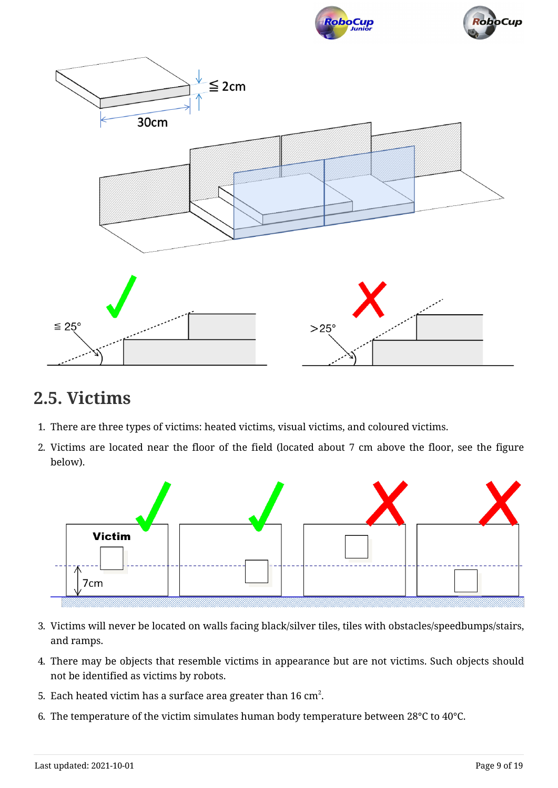





#### <span id="page-8-0"></span>**2.5. Victims**

- 1. There are three types of victims: heated victims, visual victims, and coloured victims.
- 2. Victims are located near the floor of the field (located about 7 cm above the floor, see the figure below).



- 3. Victims will never be located on walls facing black/silver tiles, tiles with obstacles/speedbumps/stairs, and ramps.
- 4. There may be objects that resemble victims in appearance but are not victims. Such objects should not be identified as victims by robots.
- 5. Each heated victim has a surface area greater than 16 cm $^2\!$ .
- 6. The temperature of the victim simulates human body temperature between 28°C to 40°C.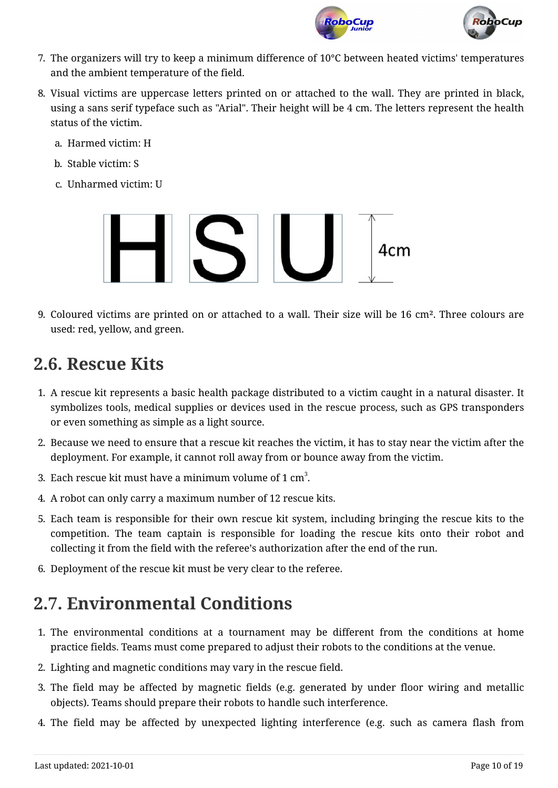



- 7. The organizers will try to keep a minimum difference of 10°C between heated victims' temperatures and the ambient temperature of the field.
- 8. Visual victims are uppercase letters printed on or attached to the wall. They are printed in black, using a sans serif typeface such as "Arial". Their height will be 4 cm. The letters represent the health status of the victim.
	- a. Harmed victim: H
	- b. Stable victim: S
	- c. Unharmed victim: U



9. Coloured victims are printed on or attached to a wall. Their size will be 16 cm². Three colours are used: red, yellow, and green.

#### <span id="page-9-0"></span>**2.6. Rescue Kits**

- 1. A rescue kit represents a basic health package distributed to a victim caught in a natural disaster. It symbolizes tools, medical supplies or devices used in the rescue process, such as GPS transponders or even something as simple as a light source.
- 2. Because we need to ensure that a rescue kit reaches the victim, it has to stay near the victim after the deployment. For example, it cannot roll away from or bounce away from the victim.
- 3. Each rescue kit must have a minimum volume of 1  $\mathrm{cm}^3.$
- 4. A robot can only carry a maximum number of 12 rescue kits.
- 5. Each team is responsible for their own rescue kit system, including bringing the rescue kits to the competition. The team captain is responsible for loading the rescue kits onto their robot and collecting it from the field with the referee's authorization after the end of the run.
- 6. Deployment of the rescue kit must be very clear to the referee.

# <span id="page-9-1"></span>**2.7. Environmental Conditions**

- 1. The environmental conditions at a tournament may be different from the conditions at home practice fields. Teams must come prepared to adjust their robots to the conditions at the venue.
- 2. Lighting and magnetic conditions may vary in the rescue field.
- 3. The field may be affected by magnetic fields (e.g. generated by under floor wiring and metallic objects). Teams should prepare their robots to handle such interference.
- 4. The field may be affected by unexpected lighting interference (e.g. such as camera flash from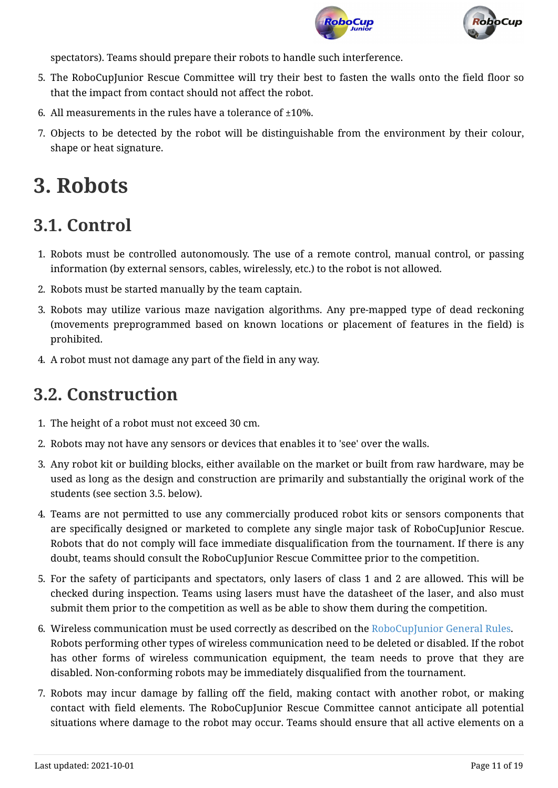



spectators). Teams should prepare their robots to handle such interference.

- 5. The RoboCupJunior Rescue Committee will try their best to fasten the walls onto the field floor so that the impact from contact should not affect the robot.
- 6. All measurements in the rules have a tolerance of  $\pm 10\%$ .
- 7. Objects to be detected by the robot will be distinguishable from the environment by their colour, shape or heat signature.

# <span id="page-10-0"></span>**3. Robots**

#### <span id="page-10-1"></span>**3.1. Control**

- 1. Robots must be controlled autonomously. The use of a remote control, manual control, or passing information (by external sensors, cables, wirelessly, etc.) to the robot is not allowed.
- 2. Robots must be started manually by the team captain.
- 3. Robots may utilize various maze navigation algorithms. Any pre-mapped type of dead reckoning (movements preprogrammed based on known locations or placement of features in the field) is prohibited.
- 4. A robot must not damage any part of the field in any way.

#### <span id="page-10-2"></span>**3.2. Construction**

- 1. The height of a robot must not exceed 30 cm.
- 2. Robots may not have any sensors or devices that enables it to 'see' over the walls.
- 3. Any robot kit or building blocks, either available on the market or built from raw hardware, may be used as long as the design and construction are primarily and substantially the original work of the students (see section 3.5. below).
- 4. Teams are not permitted to use any commercially produced robot kits or sensors components that are specifically designed or marketed to complete any single major task of RoboCupJunior Rescue. Robots that do not comply will face immediate disqualification from the tournament. If there is any doubt, teams should consult the RoboCupJunior Rescue Committee prior to the competition.
- 5. For the safety of participants and spectators, only lasers of class 1 and 2 are allowed. This will be checked during inspection. Teams using lasers must have the datasheet of the laser, and also must submit them prior to the competition as well as be able to show them during the competition.
- 6. Wireless communication must be used correctly as described on the [RoboCupJunior General Rules](https://junior.robocup.org/robocupjunior-general-rules/). Robots performing other types of wireless communication need to be deleted or disabled. If the robot has other forms of wireless communication equipment, the team needs to prove that they are disabled. Non-conforming robots may be immediately disqualified from the tournament.
- 7. Robots may incur damage by falling off the field, making contact with another robot, or making contact with field elements. The RoboCupJunior Rescue Committee cannot anticipate all potential situations where damage to the robot may occur. Teams should ensure that all active elements on a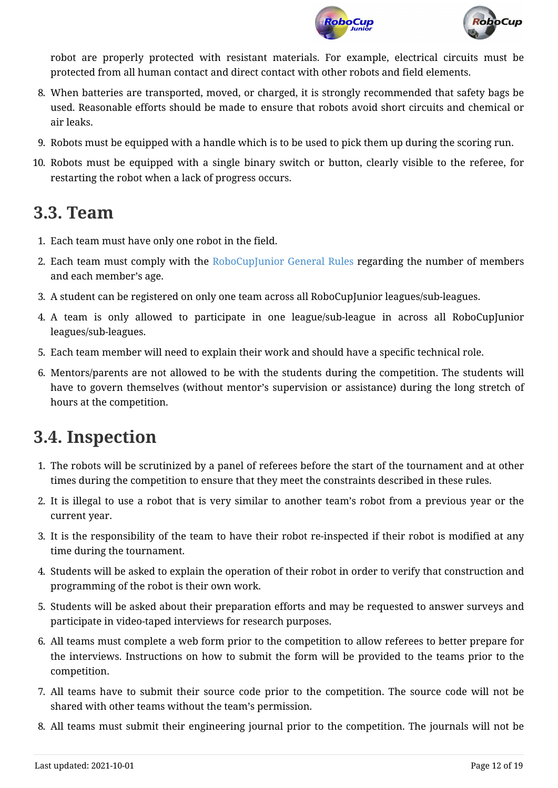



robot are properly protected with resistant materials. For example, electrical circuits must be protected from all human contact and direct contact with other robots and field elements.

- 8. When batteries are transported, moved, or charged, it is strongly recommended that safety bags be used. Reasonable efforts should be made to ensure that robots avoid short circuits and chemical or air leaks.
- 9. Robots must be equipped with a handle which is to be used to pick them up during the scoring run.
- <span id="page-11-2"></span>10. Robots must be equipped with a single binary switch or button, clearly visible to the referee, for restarting the robot when a lack of progress occurs.

#### <span id="page-11-0"></span>**3.3. Team**

- 1. Each team must have only one robot in the field.
- 2. Each team must comply with the [RoboCupJunior General Rules](https://junior.robocup.org/robocupjunior-general-rules/) regarding the number of members and each member's age.
- 3. A student can be registered on only one team across all RoboCupJunior leagues/sub-leagues.
- 4. A team is only allowed to participate in one league/sub-league in across all RoboCupJunior leagues/sub-leagues.
- 5. Each team member will need to explain their work and should have a specific technical role.
- 6. Mentors/parents are not allowed to be with the students during the competition. The students will have to govern themselves (without mentor's supervision or assistance) during the long stretch of hours at the competition.

## <span id="page-11-1"></span>**3.4. Inspection**

- 1. The robots will be scrutinized by a panel of referees before the start of the tournament and at other times during the competition to ensure that they meet the constraints described in these rules.
- 2. It is illegal to use a robot that is very similar to another team's robot from a previous year or the current year.
- 3. It is the responsibility of the team to have their robot re-inspected if their robot is modified at any time during the tournament.
- 4. Students will be asked to explain the operation of their robot in order to verify that construction and programming of the robot is their own work.
- 5. Students will be asked about their preparation efforts and may be requested to answer surveys and participate in video-taped interviews for research purposes.
- 6. All teams must complete a web form prior to the competition to allow referees to better prepare for the interviews. Instructions on how to submit the form will be provided to the teams prior to the competition.
- 7. All teams have to submit their source code prior to the competition. The source code will not be shared with other teams without the team's permission.
- 8. All teams must submit their engineering journal prior to the competition. The journals will not be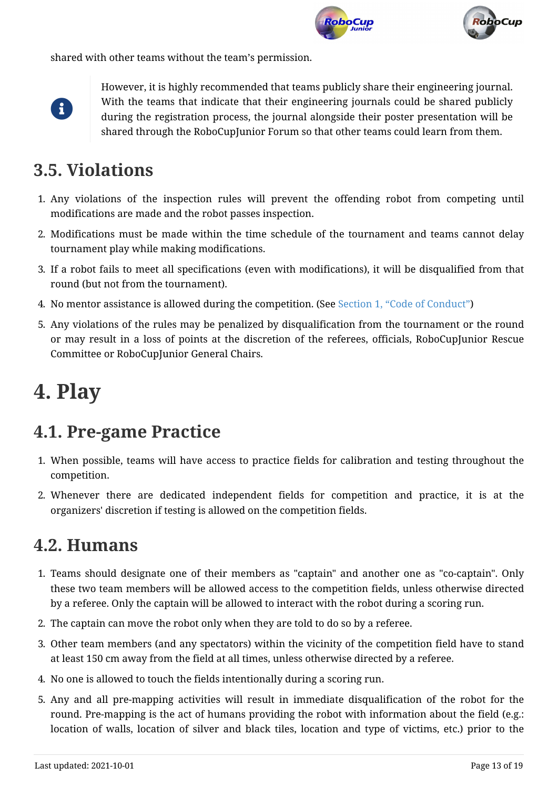



shared with other teams without the team's permission.



However, it is highly recommended that teams publicly share their engineering journal. With the teams that indicate that their engineering journals could be shared publicly during the registration process, the journal alongside their poster presentation will be shared through the RoboCupJunior Forum so that other teams could learn from them.

### <span id="page-12-0"></span>**3.5. Violations**

- 1. Any violations of the inspection rules will prevent the offending robot from competing until modifications are made and the robot passes inspection.
- 2. Modifications must be made within the time schedule of the tournament and teams cannot delay tournament play while making modifications.
- 3. If a robot fails to meet all specifications (even with modifications), it will be disqualified from that round (but not from the tournament).
- 4. No mentor assistance is allowed during the competition. (See [Section 1, "Code of Conduct"\)](#page-4-0)
- 5. Any violations of the rules may be penalized by disqualification from the tournament or the round or may result in a loss of points at the discretion of the referees, officials, RoboCupJunior Rescue Committee or RoboCupJunior General Chairs.

# <span id="page-12-1"></span>**4. Play**

## <span id="page-12-2"></span>**4.1. Pre-game Practice**

- 1. When possible, teams will have access to practice fields for calibration and testing throughout the competition.
- 2. Whenever there are dedicated independent fields for competition and practice, it is at the organizers' discretion if testing is allowed on the competition fields.

#### <span id="page-12-3"></span>**4.2. Humans**

- 1. Teams should designate one of their members as "captain" and another one as "co-captain". Only these two team members will be allowed access to the competition fields, unless otherwise directed by a referee. Only the captain will be allowed to interact with the robot during a scoring run.
- 2. The captain can move the robot only when they are told to do so by a referee.
- 3. Other team members (and any spectators) within the vicinity of the competition field have to stand at least 150 cm away from the field at all times, unless otherwise directed by a referee.
- 4. No one is allowed to touch the fields intentionally during a scoring run.
- 5. Any and all pre-mapping activities will result in immediate disqualification of the robot for the round. Pre-mapping is the act of humans providing the robot with information about the field (e.g.: location of walls, location of silver and black tiles, location and type of victims, etc.) prior to the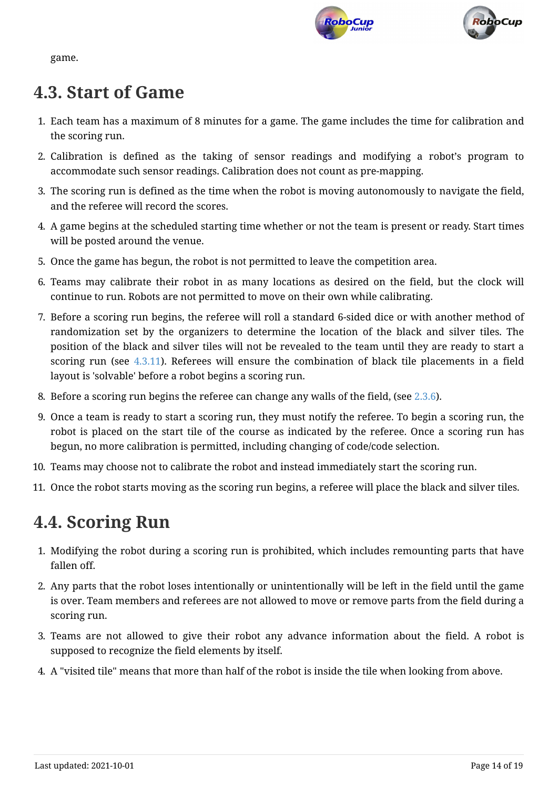



game.

#### <span id="page-13-0"></span>**4.3. Start of Game**

- 1. Each team has a maximum of 8 minutes for a game. The game includes the time for calibration and the scoring run.
- 2. Calibration is defined as the taking of sensor readings and modifying a robot's program to accommodate such sensor readings. Calibration does not count as pre-mapping.
- 3. The scoring run is defined as the time when the robot is moving autonomously to navigate the field, and the referee will record the scores.
- 4. A game begins at the scheduled starting time whether or not the team is present or ready. Start times will be posted around the venue.
- 5. Once the game has begun, the robot is not permitted to leave the competition area.
- 6. Teams may calibrate their robot in as many locations as desired on the field, but the clock will continue to run. Robots are not permitted to move on their own while calibrating.
- 7. Before a scoring run begins, the referee will roll a standard 6-sided dice or with another method of randomization set by the organizers to determine the location of the black and silver tiles. The position of the black and silver tiles will not be revealed to the team until they are ready to start a scoring run (see [4.3.11\)](#page-13-2). Referees will ensure the combination of black tile placements in a field layout is 'solvable' before a robot begins a scoring run.
- 8. Before a scoring run begins the referee can change any walls of the field, (see [2.3.6](#page-7-1)).
- 9. Once a team is ready to start a scoring run, they must notify the referee. To begin a scoring run, the robot is placed on the start tile of the course as indicated by the referee. Once a scoring run has begun, no more calibration is permitted, including changing of code/code selection.
- 10. Teams may choose not to calibrate the robot and instead immediately start the scoring run.
- <span id="page-13-2"></span>11. Once the robot starts moving as the scoring run begins, a referee will place the black and silver tiles.

## <span id="page-13-1"></span>**4.4. Scoring Run**

- 1. Modifying the robot during a scoring run is prohibited, which includes remounting parts that have fallen off.
- 2. Any parts that the robot loses intentionally or unintentionally will be left in the field until the game is over. Team members and referees are not allowed to move or remove parts from the field during a scoring run.
- 3. Teams are not allowed to give their robot any advance information about the field. A robot is supposed to recognize the field elements by itself.
- <span id="page-13-3"></span>4. A "visited tile" means that more than half of the robot is inside the tile when looking from above.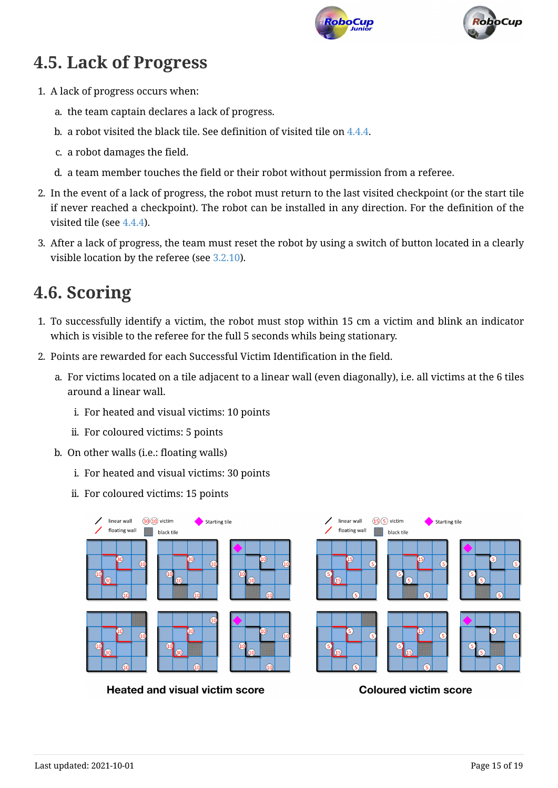



## <span id="page-14-0"></span>**4.5. Lack of Progress**

- 1. A lack of progress occurs when:
	- a. the team captain declares a lack of progress.
	- b. a robot visited the black tile. See definition of visited tile on [4.4.4](#page-13-3).
	- c. a robot damages the field.
	- d. a team member touches the field or their robot without permission from a referee.
- 2. In the event of a lack of progress, the robot must return to the last visited checkpoint (or the start tile if never reached a checkpoint). The robot can be installed in any direction. For the definition of the visited tile (see [4.4.4\)](#page-13-3).
- 3. After a lack of progress, the team must reset the robot by using a switch of button located in a clearly visible location by the referee (see [3.2.10](#page-11-2)).

## <span id="page-14-1"></span>**4.6. Scoring**

- <span id="page-14-2"></span>1. To successfully identify a victim, the robot must stop within 15 cm a victim and blink an indicator which is visible to the referee for the full 5 seconds whils being stationary.
- 2. Points are rewarded for each Successful Victim Identification in the field.
	- a. For victims located on a tile adjacent to a linear wall (even diagonally), i.e. all victims at the 6 tiles around a linear wall.
		- i. For heated and visual victims: 10 points
		- ii. For coloured victims: 5 points
	- b. On other walls (i.e.: floating walls)
		- i. For heated and visual victims: 30 points
		- ii. For coloured victims: 15 points



**Heated and visual victim score** 

**Coloured victim score**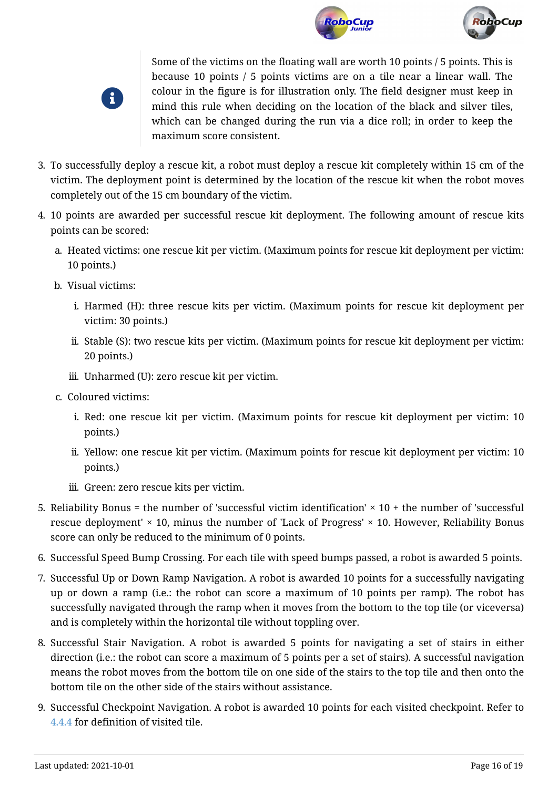





Some of the victims on the floating wall are worth 10 points / 5 points. This is because 10 points / 5 points victims are on a tile near a linear wall. The colour in the figure is for illustration only. The field designer must keep in mind this rule when deciding on the location of the black and silver tiles, which can be changed during the run via a dice roll; in order to keep the maximum score consistent.

- 3. To successfully deploy a rescue kit, a robot must deploy a rescue kit completely within 15 cm of the victim. The deployment point is determined by the location of the rescue kit when the robot moves completely out of the 15 cm boundary of the victim.
- 4. 10 points are awarded per successful rescue kit deployment. The following amount of rescue kits points can be scored:
	- a. Heated victims: one rescue kit per victim. (Maximum points for rescue kit deployment per victim: 10 points.)
	- b. Visual victims:
		- i. Harmed (H): three rescue kits per victim. (Maximum points for rescue kit deployment per victim: 30 points.)
		- ii. Stable (S): two rescue kits per victim. (Maximum points for rescue kit deployment per victim: 20 points.)
		- iii. Unharmed (U): zero rescue kit per victim.
	- c. Coloured victims:
		- i. Red: one rescue kit per victim. (Maximum points for rescue kit deployment per victim: 10 points.)
		- ii. Yellow: one rescue kit per victim. (Maximum points for rescue kit deployment per victim: 10 points.)
		- iii. Green: zero rescue kits per victim.
- 5. Reliability Bonus = the number of 'successful victim identification'  $\times$  10 + the number of 'successful rescue deployment'  $\times$  10, minus the number of 'Lack of Progress'  $\times$  10. However, Reliability Bonus score can only be reduced to the minimum of 0 points.
- 6. Successful Speed Bump Crossing. For each tile with speed bumps passed, a robot is awarded 5 points.
- 7. Successful Up or Down Ramp Navigation. A robot is awarded 10 points for a successfully navigating up or down a ramp (i.e.: the robot can score a maximum of 10 points per ramp). The robot has successfully navigated through the ramp when it moves from the bottom to the top tile (or viceversa) and is completely within the horizontal tile without toppling over.
- 8. Successful Stair Navigation. A robot is awarded 5 points for navigating a set of stairs in either direction (i.e.: the robot can score a maximum of 5 points per a set of stairs). A successful navigation means the robot moves from the bottom tile on one side of the stairs to the top tile and then onto the bottom tile on the other side of the stairs without assistance.
- 9. Successful Checkpoint Navigation. A robot is awarded 10 points for each visited checkpoint. Refer to [4.4.4](#page-13-3) for definition of visited tile.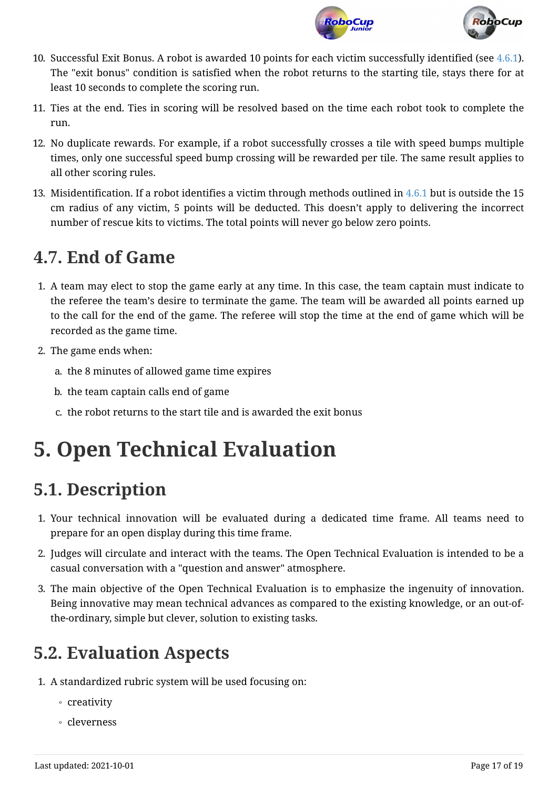



- 10. Successful Exit Bonus. A robot is awarded 10 points for each victim successfully identified (see [4.6.1](#page-14-2)). The "exit bonus" condition is satisfied when the robot returns to the starting tile, stays there for at least 10 seconds to complete the scoring run.
- 11. Ties at the end. Ties in scoring will be resolved based on the time each robot took to complete the run.
- 12. No duplicate rewards. For example, if a robot successfully crosses a tile with speed bumps multiple times, only one successful speed bump crossing will be rewarded per tile. The same result applies to all other scoring rules.
- 13. Misidentification. If a robot identifies a victim through methods outlined in [4.6.1](#page-14-2) but is outside the 15 cm radius of any victim, 5 points will be deducted. This doesn't apply to delivering the incorrect number of rescue kits to victims. The total points will never go below zero points.

## <span id="page-16-0"></span>**4.7. End of Game**

- 1. A team may elect to stop the game early at any time. In this case, the team captain must indicate to the referee the team's desire to terminate the game. The team will be awarded all points earned up to the call for the end of the game. The referee will stop the time at the end of game which will be recorded as the game time.
- 2. The game ends when:
	- a. the 8 minutes of allowed game time expires
	- b. the team captain calls end of game
	- c. the robot returns to the start tile and is awarded the exit bonus

# <span id="page-16-1"></span>**5. Open Technical Evaluation**

# <span id="page-16-2"></span>**5.1. Description**

- 1. Your technical innovation will be evaluated during a dedicated time frame. All teams need to prepare for an open display during this time frame.
- 2. Judges will circulate and interact with the teams. The Open Technical Evaluation is intended to be a casual conversation with a "question and answer" atmosphere.
- 3. The main objective of the Open Technical Evaluation is to emphasize the ingenuity of innovation. Being innovative may mean technical advances as compared to the existing knowledge, or an out-ofthe-ordinary, simple but clever, solution to existing tasks.

## <span id="page-16-3"></span>**5.2. Evaluation Aspects**

- 1. A standardized rubric system will be used focusing on:
	- creativity
	- cleverness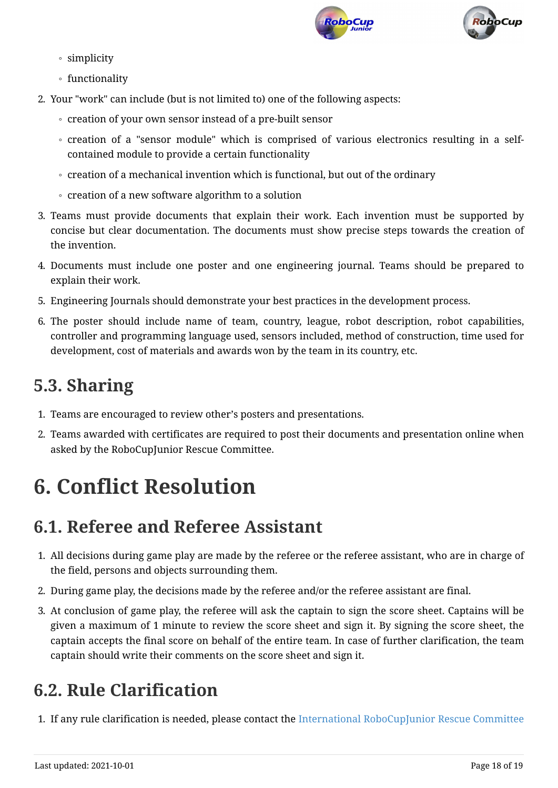



- simplicity
- functionality
- 2. Your "work" can include (but is not limited to) one of the following aspects:
	- creation of your own sensor instead of a pre-built sensor
	- creation of a "sensor module" which is comprised of various electronics resulting in a selfcontained module to provide a certain functionality
	- creation of a mechanical invention which is functional, but out of the ordinary
	- creation of a new software algorithm to a solution
- 3. Teams must provide documents that explain their work. Each invention must be supported by concise but clear documentation. The documents must show precise steps towards the creation of the invention.
- 4. Documents must include one poster and one engineering journal. Teams should be prepared to explain their work.
- 5. Engineering Journals should demonstrate your best practices in the development process.
- 6. The poster should include name of team, country, league, robot description, robot capabilities, controller and programming language used, sensors included, method of construction, time used for development, cost of materials and awards won by the team in its country, etc.

## <span id="page-17-0"></span>**5.3. Sharing**

- 1. Teams are encouraged to review other's posters and presentations.
- 2. Teams awarded with certificates are required to post their documents and presentation online when asked by the RoboCupJunior Rescue Committee.

# <span id="page-17-1"></span>**6. Conflict Resolution**

## <span id="page-17-2"></span>**6.1. Referee and Referee Assistant**

- 1. All decisions during game play are made by the referee or the referee assistant, who are in charge of the field, persons and objects surrounding them.
- 2. During game play, the decisions made by the referee and/or the referee assistant are final.
- 3. At conclusion of game play, the referee will ask the captain to sign the score sheet. Captains will be given a maximum of 1 minute to review the score sheet and sign it. By signing the score sheet, the captain accepts the final score on behalf of the entire team. In case of further clarification, the team captain should write their comments on the score sheet and sign it.

# <span id="page-17-3"></span>**6.2. Rule Clarification**

1. If any rule clarification is needed, please contact the [International RoboCupJunior Rescue Committee](https://junior.robocup.org/community/)